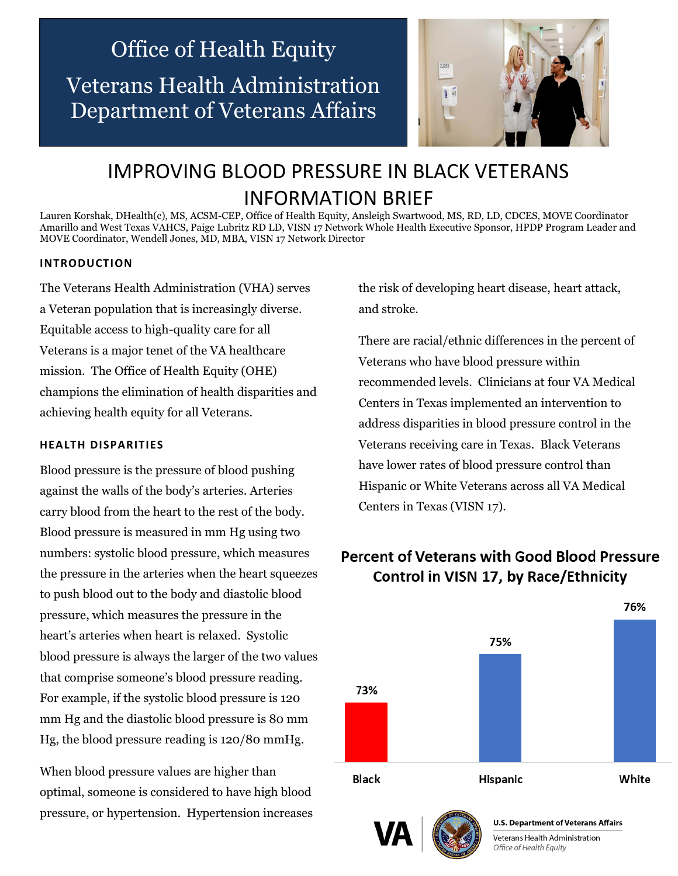# Office of Health Equity Veterans Health Administration Department of Veterans Affairs



## IMPROVING BLOOD PRESSURE IN BLACK VETERANS INFORMATION BRIEF

Lauren Korshak, DHealth(c), MS, ACSM-CEP, Office of Health Equity, Ansleigh Swartwood, MS, RD, LD, CDCES, MOVE Coordinator Amarillo and West Texas VAHCS, Paige Lubritz RD LD, VISN 17 Network Whole Health Executive Sponsor, HPDP Program Leader and MOVE Coordinator, Wendell Jones, MD, MBA, VISN 17 Network Director

#### **INTRODUCTION**

The Veterans Health Administration (VHA) serves a Veteran population that is increasingly diverse. Equitable access to high-quality care for all Veterans is a major tenet of the VA healthcare mission. The Office of Health Equity (OHE) champions the elimination of health disparities and achieving health equity for all Veterans.

#### **HEALTH DISPARITIES**

Blood pressure is the pressure of blood pushing against the walls of the body's arteries. Arteries carry blood from the heart to the rest of the body. Blood pressure is measured in mm Hg using two numbers: systolic blood pressure, which measures the pressure in the arteries when the heart squeezes to push blood out to the body and diastolic blood pressure, which measures the pressure in the heart's arteries when heart is relaxed. Systolic blood pressure is always the larger of the two values that comprise someone's blood pressure reading. For example, if the systolic blood pressure is 120 mm Hg and the diastolic blood pressure is 80 mm Hg, the blood pressure reading is 120/80 mmHg.

When blood pressure values are higher than optimal, someone is considered to have high blood pressure, or hypertension. Hypertension increases the risk of developing heart disease, heart attack, and stroke.

There are racial/ethnic differences in the percent of Veterans who have blood pressure within recommended levels. Clinicians at four VA Medical Centers in Texas implemented an intervention to address disparities in blood pressure control in the Veterans receiving care in Texas. Black Veterans have lower rates of blood pressure control than Hispanic or White Veterans across all VA Medical Centers in Texas (VISN 17).

### **Percent of Veterans with Good Blood Pressure** Control in VISN 17, by Race/Ethnicity